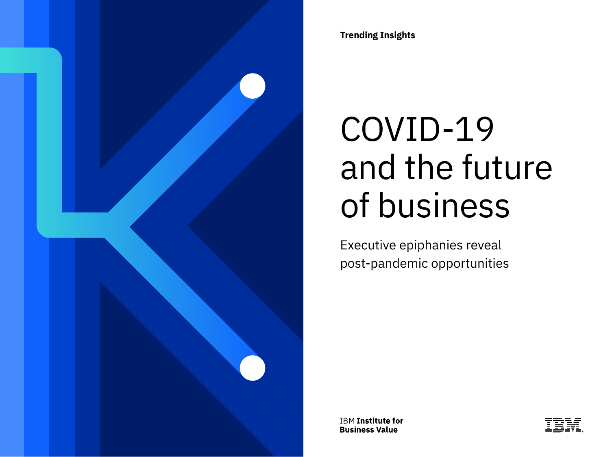

**Trending Insights**

# COVID-19 and the future of business

Executive epiphanies reveal post-pandemic opportunities

**IBM Institute for Business Value** 

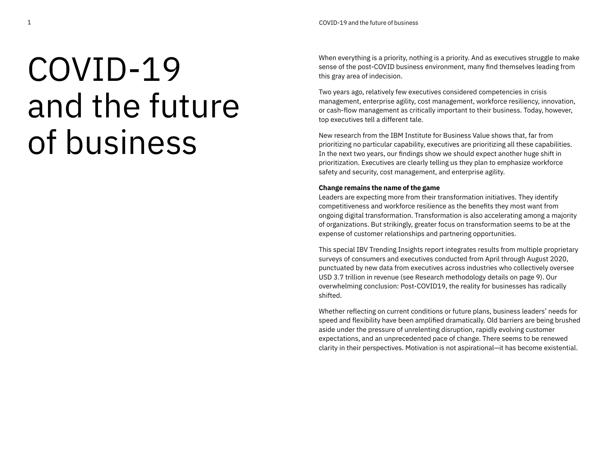# COVID-19 and the future of business

When everything is a priority, nothing is a priority. And as executives struggle to make sense of the post-COVID business environment, many find themselves leading from this gray area of indecision.

Two years ago, relatively few executives considered competencies in crisis management, enterprise agility, cost management, workforce resiliency, innovation, or cash-flow management as critically important to their business. Today, however, top executives tell a different tale.

New research from the IBM Institute for Business Value shows that, far from prioritizing no particular capability, executives are prioritizing all these capabilities. In the next two years, our findings show we should expect another huge shift in prioritization. Executives are clearly telling us they plan to emphasize workforce safety and security, cost management, and enterprise agility.

#### **Change remains the name of the game**

Leaders are expecting more from their transformation initiatives. They identify competitiveness and workforce resilience as the benefits they most want from ongoing digital transformation. Transformation is also accelerating among a majority of organizations. But strikingly, greater focus on transformation seems to be at the expense of customer relationships and partnering opportunities.

This special IBV Trending Insights report integrates results from multiple proprietary surveys of consumers and executives conducted from April through August 2020, punctuated by new data from executives across industries who collectively oversee USD 3.7 trillion in revenue (see Research methodology details on page 9). Our overwhelming conclusion: Post-COVID19, the reality for businesses has radically shifted.

Whether reflecting on current conditions or future plans, business leaders' needs for speed and flexibility have been amplified dramatically. Old barriers are being brushed aside under the pressure of unrelenting disruption, rapidly evolving customer expectations, and an unprecedented pace of change. There seems to be renewed clarity in their perspectives. Motivation is not aspirational—it has become existential.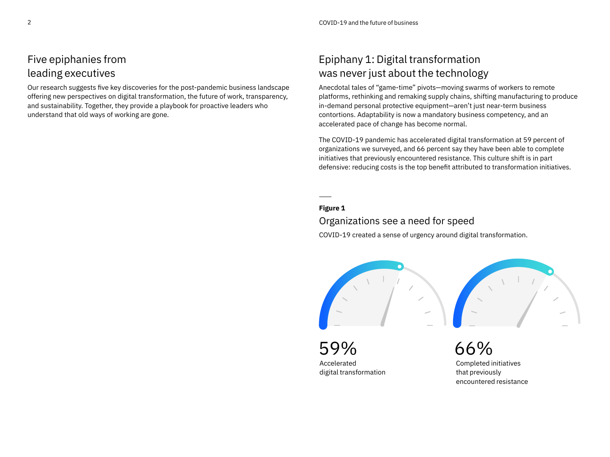# Five epiphanies from leading executives

Our research suggests five key discoveries for the post-pandemic business landscape offering new perspectives on digital transformation, the future of work, transparency, and sustainability. Together, they provide a playbook for proactive leaders who understand that old ways of working are gone.

# Epiphany 1: Digital transformation was never just about the technology

Anecdotal tales of "game-time" pivots—moving swarms of workers to remote platforms, rethinking and remaking supply chains, shifting manufacturing to produce in-demand personal protective equipment—aren't just near-term business contortions. Adaptability is now a mandatory business competency, and an accelerated pace of change has become normal.

The COVID-19 pandemic has accelerated digital transformation at 59 percent of organizations we surveyed, and 66 percent say they have been able to complete initiatives that previously encountered resistance. This culture shift is in part defensive: reducing costs is the top benefit attributed to transformation initiatives.

## **Figure 1**

## Organizations see a need for speed

COVID-19 created a sense of urgency around digital transformation.



59% Accelerated digital transformation

66% Completed initiatives that previously encountered resistance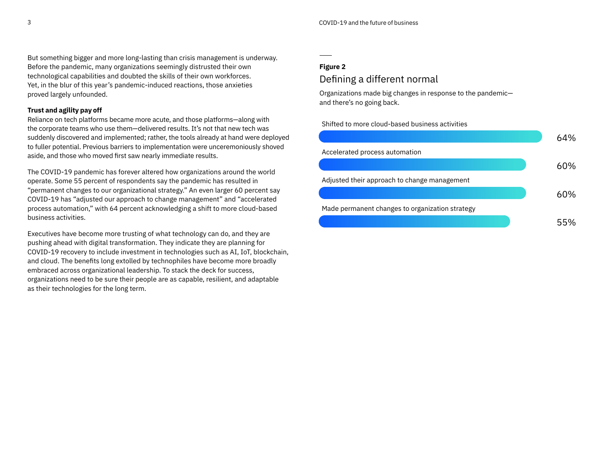But something bigger and more long-lasting than crisis management is underway. Before the pandemic, many organizations seemingly distrusted their own technological capabilities and doubted the skills of their own workforces. Yet, in the blur of this year's pandemic-induced reactions, those anxieties proved largely unfounded.

#### **Trust and agility pay off**

Reliance on tech platforms became more acute, and those platforms—along with the corporate teams who use them—delivered results. It's not that new tech was suddenly discovered and implemented; rather, the tools already at hand were deployed to fuller potential. Previous barriers to implementation were unceremoniously shoved aside, and those who moved first saw nearly immediate results.

The COVID-19 pandemic has forever altered how organizations around the world operate. Some 55 percent of respondents say the pandemic has resulted in "permanent changes to our organizational strategy." An even larger 60 percent say COVID-19 has "adjusted our approach to change management" and "accelerated process automation," with 64 percent acknowledging a shift to more cloud-based business activities.

Executives have become more trusting of what technology can do, and they are pushing ahead with digital transformation. They indicate they are planning for COVID-19 recovery to include investment in technologies such as AI, IoT, blockchain, and cloud. The benefits long extolled by technophiles have become more broadly embraced across organizational leadership. To stack the deck for success, organizations need to be sure their people are as capable, resilient, and adaptable as their technologies for the long term.

#### **Figure 2**

## Defining a different normal

Organizations made big changes in response to the pandemic and there's no going back.

Shifted to more cloud-based business activities

|                                                 | 64% |
|-------------------------------------------------|-----|
| Accelerated process automation                  |     |
|                                                 | 6በ% |
| Adjusted their approach to change management    |     |
|                                                 | ለበ% |
| Made permanent changes to organization strategy |     |
|                                                 | ר ה |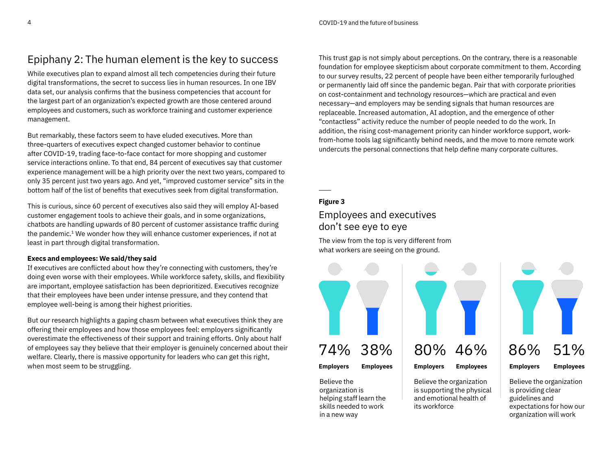# Epiphany 2: The human element is the key to success

While executives plan to expand almost all tech competencies during their future digital transformations, the secret to success lies in human resources. In one IBV data set, our analysis confirms that the business competencies that account for the largest part of an organization's expected growth are those centered around employees and customers, such as workforce training and customer experience management.

But remarkably, these factors seem to have eluded executives. More than three-quarters of executives expect changed customer behavior to continue after COVID-19, trading face-to-face contact for more shopping and customer service interactions online. To that end, 84 percent of executives say that customer experience management will be a high priority over the next two years, compared to only 35 percent just two years ago. And yet, "improved customer service" sits in the bottom half of the list of benefits that executives seek from digital transformation.

This is curious, since 60 percent of executives also said they will employ AI-based customer engagement tools to achieve their goals, and in some organizations, chatbots are handling upwards of 80 percent of customer assistance traffic during the pandemic.1 We wonder how they will enhance customer experiences, if not at least in part through digital transformation.

#### **Execs and employees: We said/they said**

If executives are conflicted about how they're connecting with customers, they're doing even worse with their employees. While workforce safety, skills, and flexibility are important, employee satisfaction has been deprioritized. Executives recognize that their employees have been under intense pressure, and they contend that employee well-being is among their highest priorities.

But our research highlights a gaping chasm between what executives think they are offering their employees and how those employees feel: employers significantly overestimate the effectiveness of their support and training efforts. Only about half of employees say they believe that their employer is genuinely concerned about their welfare. Clearly, there is massive opportunity for leaders who can get this right, when most seem to be struggling.

This trust gap is not simply about perceptions. On the contrary, there is a reasonable foundation for employee skepticism about corporate commitment to them. According to our survey results, 22 percent of people have been either temporarily furloughed or permanently laid off since the pandemic began. Pair that with corporate priorities on cost-containment and technology resources—which are practical and even necessary—and employers may be sending signals that human resources are replaceable. Increased automation, AI adoption, and the emergence of other "contactless" activity reduce the number of people needed to do the work. In addition, the rising cost-management priority can hinder workforce support, workfrom-home tools lag significantly behind needs, and the move to more remote work undercuts the personal connections that help define many corporate cultures.

## **Figure 3**

## Employees and executives don't see eye to eye

The view from the top is very different from what workers are seeing on the ground.



Believe the organization is helping staff learn the skills needed to work in a new way



Believe the organization is supporting the physical and emotional health of its workforce

86% **Employers** 51% **Employees**

Believe the organization is providing clear guidelines and expectations for how our organization will work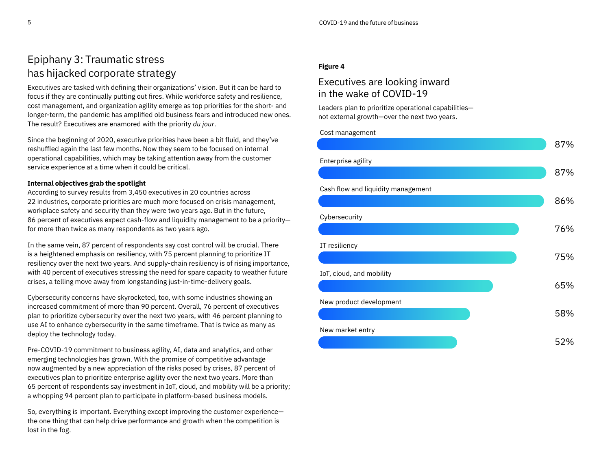# Epiphany 3: Traumatic stress has hijacked corporate strategy

Executives are tasked with defining their organizations' vision. But it can be hard to focus if they are continually putting out fires. While workforce safety and resilience, cost management, and organization agility emerge as top priorities for the short- and longer-term, the pandemic has amplified old business fears and introduced new ones. The result? Executives are enamored with the priority *du jour*.

Since the beginning of 2020, executive priorities have been a bit fluid, and they've reshuffled again the last few months. Now they seem to be focused on internal operational capabilities, which may be taking attention away from the customer service experience at a time when it could be critical.

## **Internal objectives grab the spotlight**

According to survey results from 3,450 executives in 20 countries across 22 industries, corporate priorities are much more focused on crisis management, workplace safety and security than they were two years ago. But in the future, 86 percent of executives expect cash-flow and liquidity management to be a priority for more than twice as many respondents as two years ago.

In the same vein, 87 percent of respondents say cost control will be crucial. There is a heightened emphasis on resiliency, with 75 percent planning to prioritize IT resiliency over the next two years. And supply-chain resiliency is of rising importance, with 40 percent of executives stressing the need for spare capacity to weather future crises, a telling move away from longstanding just-in-time-delivery goals.

Cybersecurity concerns have skyrocketed, too, with some industries showing an increased commitment of more than 90 percent. Overall, 76 percent of executives plan to prioritize cybersecurity over the next two years, with 46 percent planning to use AI to enhance cybersecurity in the same timeframe. That is twice as many as deploy the technology today.

Pre-COVID-19 commitment to business agility, AI, data and analytics, and other emerging technologies has grown. With the promise of competitive advantage now augmented by a new appreciation of the risks posed by crises, 87 percent of executives plan to prioritize enterprise agility over the next two years. More than 65 percent of respondents say investment in IoT, cloud, and mobility will be a priority; a whopping 94 percent plan to participate in platform-based business models.

So, everything is important. Everything except improving the customer experience the one thing that can help drive performance and growth when the competition is lost in the fog.

## **Figure 4**

## Executives are looking inward in the wake of COVID-19

Leaders plan to prioritize operational capabilities not external growth—over the next two years.

Cost management

|                                    | 87% |
|------------------------------------|-----|
| Enterprise agility                 |     |
|                                    | 87% |
| Cash flow and liquidity management |     |
|                                    | 86% |
| Cybersecurity                      |     |
|                                    | 76% |
| IT resiliency                      |     |
|                                    | 75% |
| IoT, cloud, and mobility           |     |
|                                    | 65% |
| New product development            |     |
|                                    | 58% |
| New market entry                   |     |
|                                    | 52% |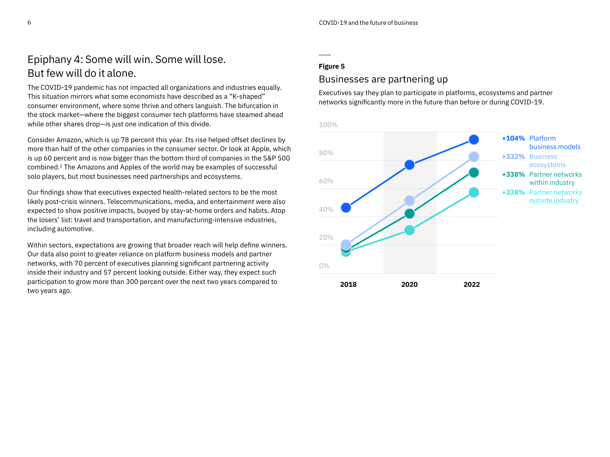# Epiphany 4: Some will win. Some will lose. But few will do it alone.

The COVID-19 pandemic has not impacted all organizations and industries equally. This situation mirrors what some economists have described as a "K-shaped" consumer environment, where some thrive and others languish. The bifurcation in the stock market—where the biggest consumer tech platforms have steamed ahead while other shares drop—is just one indication of this divide.

Consider Amazon, which is up 78 percent this year. Its rise helped offset declines by more than half of the other companies in the consumer sector. Or look at Apple, which is up 60 percent and is now bigger than the bottom third of companies in the S&P 500 combined.2 The Amazons and Apples of the world may be examples of successful solo players, but most businesses need partnerships and ecosystems.

Our findings show that executives expected health-related sectors to be the most likely post-crisis winners. Telecommunications, media, and entertainment were also expected to show positive impacts, buoyed by stay-at-home orders and habits. Atop the losers' list: travel and transportation, and manufacturing-intensive industries, including automotive.

Within sectors, expectations are growing that broader reach will help define winners. Our data also point to greater reliance on platform business models and partner networks, with 70 percent of executives planning significant partnering activity inside their industry and 57 percent looking outside. Either way, they expect such participation to grow more than 300 percent over the next two years compared to two years ago.

### **Figure 5**

## Businesses are partnering up

Executives say they plan to participate in platforms, ecosystems and partner networks significantly more in the future than before or during COVID-19.

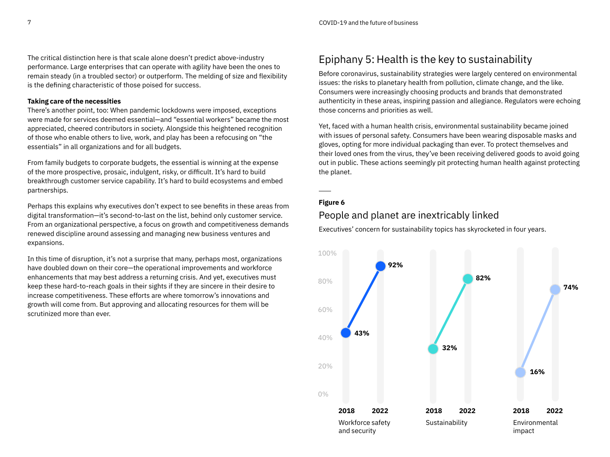The critical distinction here is that scale alone doesn't predict above-industry performance. Large enterprises that can operate with agility have been the ones to remain steady (in a troubled sector) or outperform. The melding of size and flexibility is the defining characteristic of those poised for success.

#### **Taking care of the necessities**

There's another point, too: When pandemic lockdowns were imposed, exceptions were made for services deemed essential—and "essential workers" became the most appreciated, cheered contributors in society. Alongside this heightened recognition of those who enable others to live, work, and play has been a refocusing on "the essentials" in all organizations and for all budgets.

From family budgets to corporate budgets, the essential is winning at the expense of the more prospective, prosaic, indulgent, risky, or difficult. It's hard to build breakthrough customer service capability. It's hard to build ecosystems and embed partnerships.

Perhaps this explains why executives don't expect to see benefits in these areas from digital transformation—it's second-to-last on the list, behind only customer service. From an organizational perspective, a focus on growth and competitiveness demands renewed discipline around assessing and managing new business ventures and expansions.

In this time of disruption, it's not a surprise that many, perhaps most, organizations have doubled down on their core—the operational improvements and workforce enhancements that may best address a returning crisis. And yet, executives must keep these hard-to-reach goals in their sights if they are sincere in their desire to increase competitiveness. These efforts are where tomorrow's innovations and growth will come from. But approving and allocating resources for them will be scrutinized more than ever.

# Epiphany 5: Health is the key to sustainability

Before coronavirus, sustainability strategies were largely centered on environmental issues: the risks to planetary health from pollution, climate change, and the like. Consumers were increasingly choosing products and brands that demonstrated authenticity in these areas, inspiring passion and allegiance. Regulators were echoing those concerns and priorities as well.

Yet, faced with a human health crisis, environmental sustainability became joined with issues of personal safety. Consumers have been wearing disposable masks and gloves, opting for more individual packaging than ever. To protect themselves and their loved ones from the virus, they've been receiving delivered goods to avoid going out in public. These actions seemingly pit protecting human health against protecting the planet.

## **Figure 6**

## People and planet are inextricably linked

Executives' concern for sustainability topics has skyrocketed in four years.

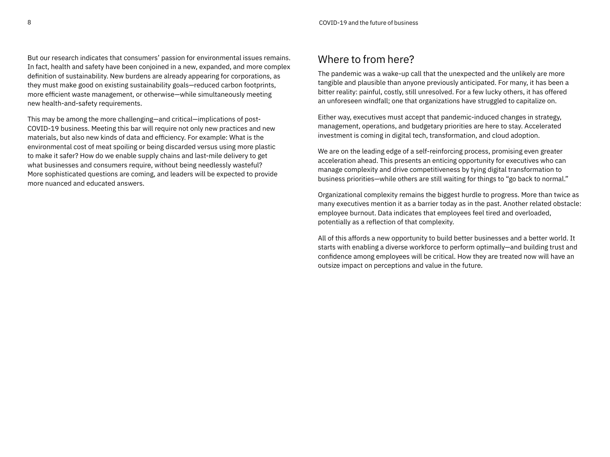But our research indicates that consumers' passion for environmental issues remains. In fact, health and safety have been conjoined in a new, expanded, and more complex definition of sustainability. New burdens are already appearing for corporations, as they must make good on existing sustainability goals—reduced carbon footprints, more efficient waste management, or otherwise—while simultaneously meeting new health-and-safety requirements.

This may be among the more challenging—and critical—implications of post-COVID-19 business. Meeting this bar will require not only new practices and new materials, but also new kinds of data and efficiency. For example: What is the environmental cost of meat spoiling or being discarded versus using more plastic to make it safer? How do we enable supply chains and last-mile delivery to get what businesses and consumers require, without being needlessly wasteful? More sophisticated questions are coming, and leaders will be expected to provide more nuanced and educated answers.

## Where to from here?

The pandemic was a wake-up call that the unexpected and the unlikely are more tangible and plausible than anyone previously anticipated. For many, it has been a bitter reality: painful, costly, still unresolved. For a few lucky others, it has offered an unforeseen windfall; one that organizations have struggled to capitalize on.

Either way, executives must accept that pandemic-induced changes in strategy, management, operations, and budgetary priorities are here to stay. Accelerated investment is coming in digital tech, transformation, and cloud adoption.

We are on the leading edge of a self-reinforcing process, promising even greater acceleration ahead. This presents an enticing opportunity for executives who can manage complexity and drive competitiveness by tying digital transformation to business priorities—while others are still waiting for things to "go back to normal."

Organizational complexity remains the biggest hurdle to progress. More than twice as many executives mention it as a barrier today as in the past. Another related obstacle: employee burnout. Data indicates that employees feel tired and overloaded, potentially as a reflection of that complexity.

All of this affords a new opportunity to build better businesses and a better world. It starts with enabling a diverse workforce to perform optimally—and building trust and confidence among employees will be critical. How they are treated now will have an outsize impact on perceptions and value in the future.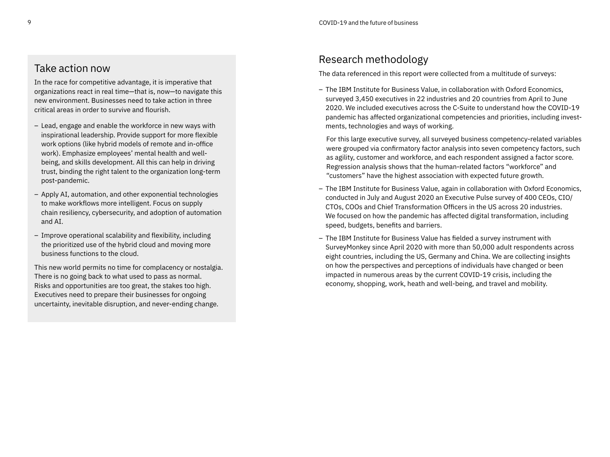## Take action now

In the race for competitive advantage, it is imperative that organizations react in real time—that is, now—to navigate this new environment. Businesses need to take action in three critical areas in order to survive and flourish.

- Lead, engage and enable the workforce in new ways with inspirational leadership. Provide support for more flexible work options (like hybrid models of remote and in-office work). Emphasize employees' mental health and wellbeing, and skills development. All this can help in driving trust, binding the right talent to the organization long-term post-pandemic.
- Apply AI, automation, and other exponential technologies to make workflows more intelligent. Focus on supply chain resiliency, cybersecurity, and adoption of automation and AI.
- Improve operational scalability and flexibility, including the prioritized use of the hybrid cloud and moving more business functions to the cloud.

This new world permits no time for complacency or nostalgia. There is no going back to what used to pass as normal. Risks and opportunities are too great, the stakes too high. Executives need to prepare their businesses for ongoing uncertainty, inevitable disruption, and never-ending change.

# Research methodology

The data referenced in this report were collected from a multitude of surveys:

– The IBM Institute for Business Value, in collaboration with Oxford Economics, surveyed 3,450 executives in 22 industries and 20 countries from April to June 2020. We included executives across the C-Suite to understand how the COVID-19 pandemic has affected organizational competencies and priorities, including investments, technologies and ways of working.

For this large executive survey, all surveyed business competency-related variables were grouped via confirmatory factor analysis into seven competency factors, such as agility, customer and workforce, and each respondent assigned a factor score. Regression analysis shows that the human-related factors "workforce" and "customers" have the highest association with expected future growth.

- The IBM Institute for Business Value, again in collaboration with Oxford Economics, conducted in July and August 2020 an Executive Pulse survey of 400 CEOs, CIO/ CTOs, COOs and Chief Transformation Officers in the US across 20 industries. We focused on how the pandemic has affected digital transformation, including speed, budgets, benefits and barriers.
- The IBM Institute for Business Value has fielded a survey instrument with SurveyMonkey since April 2020 with more than 50,000 adult respondents across eight countries, including the US, Germany and China. We are collecting insights on how the perspectives and perceptions of individuals have changed or been impacted in numerous areas by the current COVID-19 crisis, including the economy, shopping, work, heath and well-being, and travel and mobility.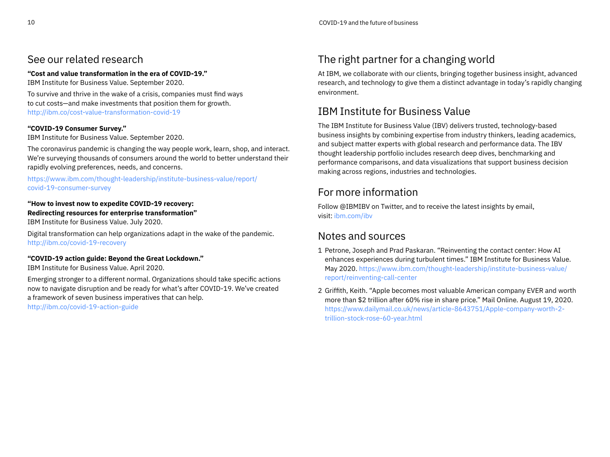## See our related research

**"Cost and value transformation in the era of COVID-19."**

IBM Institute for Business Value. September 2020.

To survive and thrive in the wake of a crisis, companies must find ways to cut costs—and make investments that position them for growth. <http://ibm.co/cost-value-transformation-covid-19>

## **"COVID-19 Consumer Survey."**

IBM Institute for Business Value. September 2020.

The coronavirus pandemic is changing the way people work, learn, shop, and interact. We're surveying thousands of consumers around the world to better understand their rapidly evolving preferences, needs, and concerns.

[https://www.ibm.com/thought-leadership/institute-business-value/report/](https://www.ibm.com/thought-leadership/institute-business-value/report/covid-19-consumer-survey) [covid-19-consumer-survey](https://www.ibm.com/thought-leadership/institute-business-value/report/covid-19-consumer-survey)

### **"How to invest now to expedite COVID-19 recovery: Redirecting resources for enterprise transformation"**

IBM Institute for Business Value. July 2020.

Digital transformation can help organizations adapt in the wake of the pandemic. <http://ibm.co/covid-19-recovery>

## **"COVID-19 action guide: Beyond the Great Lockdown."**

IBM Institute for Business Value. April 2020.

Emerging stronger to a different normal. Organizations should take specific actions now to navigate disruption and be ready for what's after COVID-19. We've created a framework of seven business imperatives that can help. <http://ibm.co/covid-19-action-guide>

# The right partner for a changing world

At IBM, we collaborate with our clients, bringing together business insight, advanced research, and technology to give them a distinct advantage in today's rapidly changing environment.

# IBM Institute for Business Value

The IBM Institute for Business Value (IBV) delivers trusted, technology-based business insights by combining expertise from industry thinkers, leading academics, and subject matter experts with global research and performance data. The IBV thought leadership portfolio includes research deep dives, benchmarking and performance comparisons, and data visualizations that support business decision making across regions, industries and technologies.

# For more information

Follow @IBMIBV on Twitter, and to receive the latest insights by email, visit: [ibm.com/ibv](http://www.ibm.com/ibv)

# Notes and sources

- 1 Petrone, Joseph and Prad Paskaran. "Reinventing the contact center: How AI enhances experiences during turbulent times." IBM Institute for Business Value. May 2020. [https://www.ibm.com/thought-leadership/institute-business-value/](https://www.ibm.com/thought-leadership/institute-business-value/report/reinventing-call-center) [report/reinventing-call-center](https://www.ibm.com/thought-leadership/institute-business-value/report/reinventing-call-center)
- 2 Griffith, Keith. "Apple becomes most valuable American company EVER and worth more than \$2 trillion after 60% rise in share price." Mail Online. August 19, 2020. [https://www.dailymail.co.uk/news/article-8643751/Apple-company-worth-2](https://www.dailymail.co.uk/news/article-8643751/Apple-company-worth-2-trillion-stock-rose-60-year.html) [trillion-stock-rose-60-year.html](https://www.dailymail.co.uk/news/article-8643751/Apple-company-worth-2-trillion-stock-rose-60-year.html)